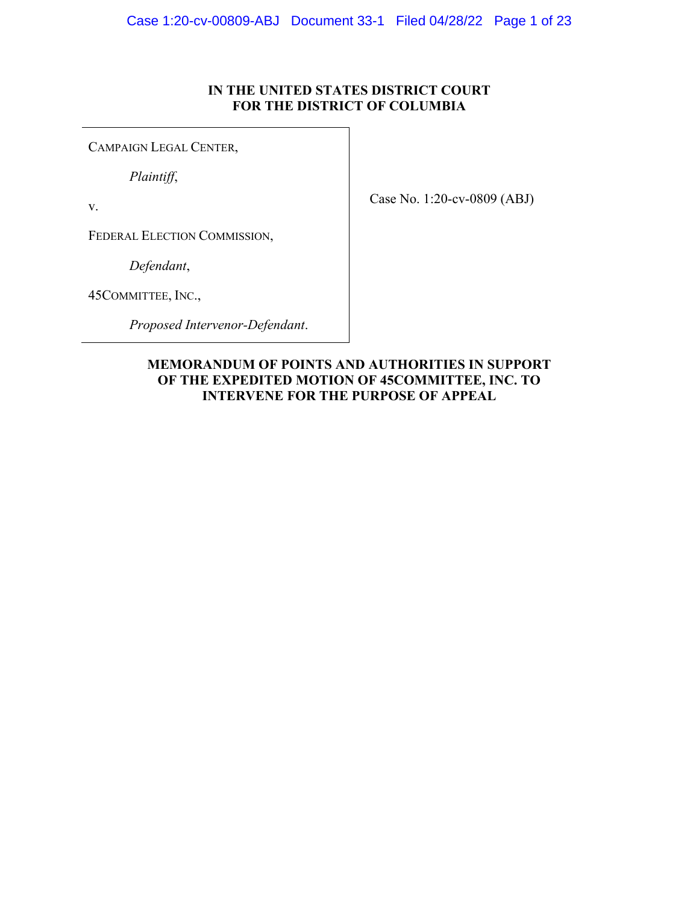### **IN THE UNITED STATES DISTRICT COURT FOR THE DISTRICT OF COLUMBIA**

CAMPAIGN LEGAL CENTER,

*Plaintiff*,

v.

Case No. 1:20-cv-0809 (ABJ)

FEDERAL ELECTION COMMISSION,

*Defendant*,

45COMMITTEE, INC.,

*Proposed Intervenor-Defendant*.

## **MEMORANDUM OF POINTS AND AUTHORITIES IN SUPPORT OF THE EXPEDITED MOTION OF 45COMMITTEE, INC. TO INTERVENE FOR THE PURPOSE OF APPEAL**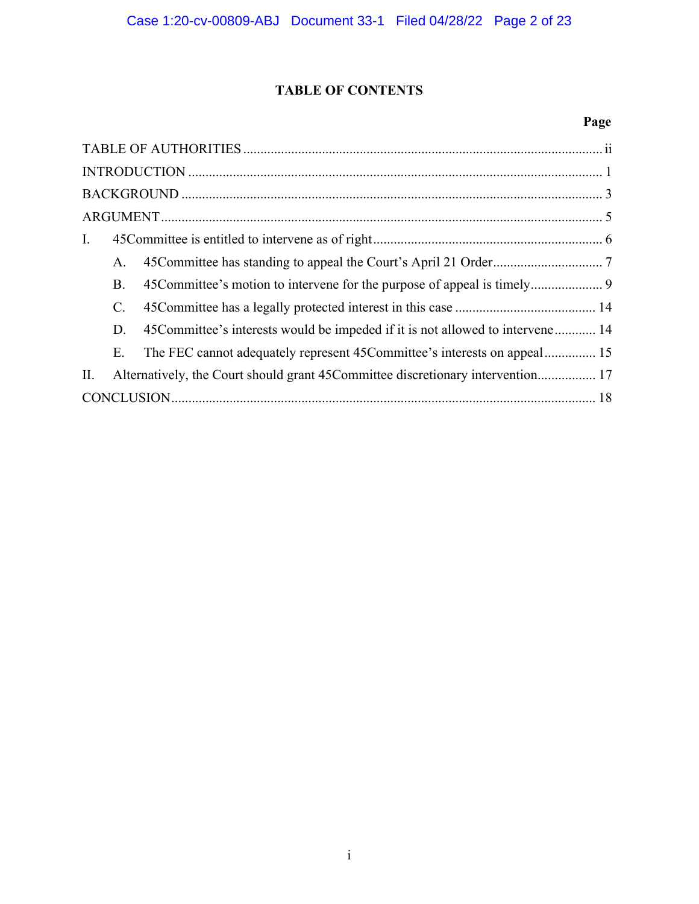## **TABLE OF CONTENTS**

## **Page**

| Ι.                                                                                     |
|----------------------------------------------------------------------------------------|
| A.                                                                                     |
| <b>B.</b>                                                                              |
| $\mathbf{C}$ .                                                                         |
| 45 Committee's interests would be impeded if it is not allowed to intervene 14<br>D.   |
| The FEC cannot adequately represent 45Committee's interests on appeal 15<br>Ε.         |
| Alternatively, the Court should grant 45 Committee discretionary intervention 17<br>П. |
|                                                                                        |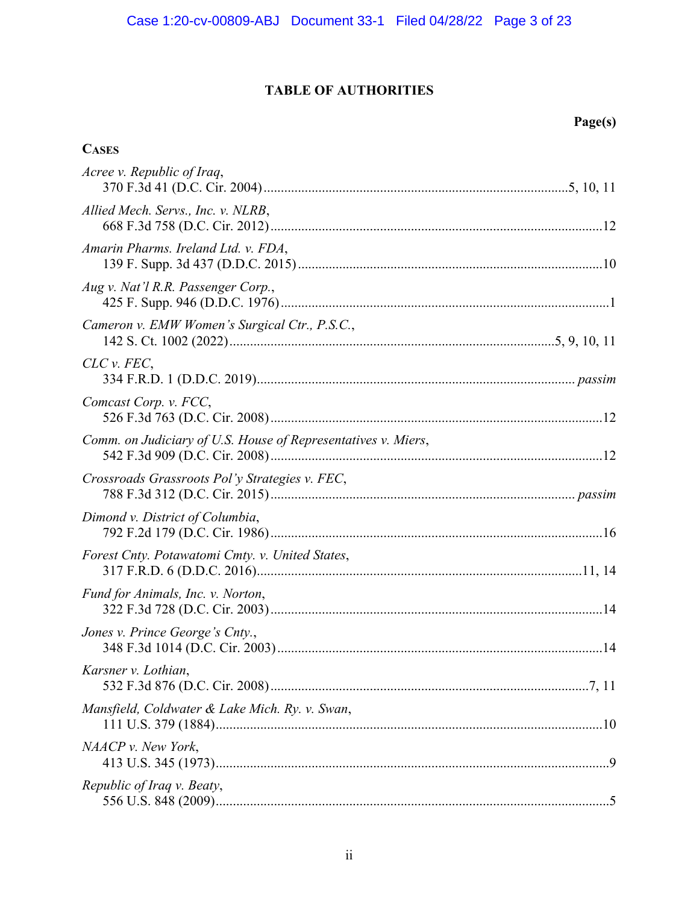## **TABLE OF AUTHORITIES**

# **Page(s)**

## **CASES**

| Acree v. Republic of Iraq,                                    |  |
|---------------------------------------------------------------|--|
| Allied Mech. Servs., Inc. v. NLRB,                            |  |
| Amarin Pharms. Ireland Ltd. v. FDA,                           |  |
| Aug v. Nat'l R.R. Passenger Corp.,                            |  |
| Cameron v. EMW Women's Surgical Ctr., P.S.C.,                 |  |
| CLC v. FEC,                                                   |  |
| Comcast Corp. v. FCC,                                         |  |
| Comm. on Judiciary of U.S. House of Representatives v. Miers, |  |
| Crossroads Grassroots Pol'y Strategies v. FEC,                |  |
| Dimond v. District of Columbia,                               |  |
| Forest Cnty. Potawatomi Cmty. v. United States,               |  |
| Fund for Animals, Inc. v. Norton,                             |  |
| Jones v. Prince George's Cnty.,                               |  |
| Karsner v. Lothian,                                           |  |
| Mansfield, Coldwater & Lake Mich. Ry. v. Swan,                |  |
| NAACP v. New York,                                            |  |
| Republic of Iraq v. Beaty,                                    |  |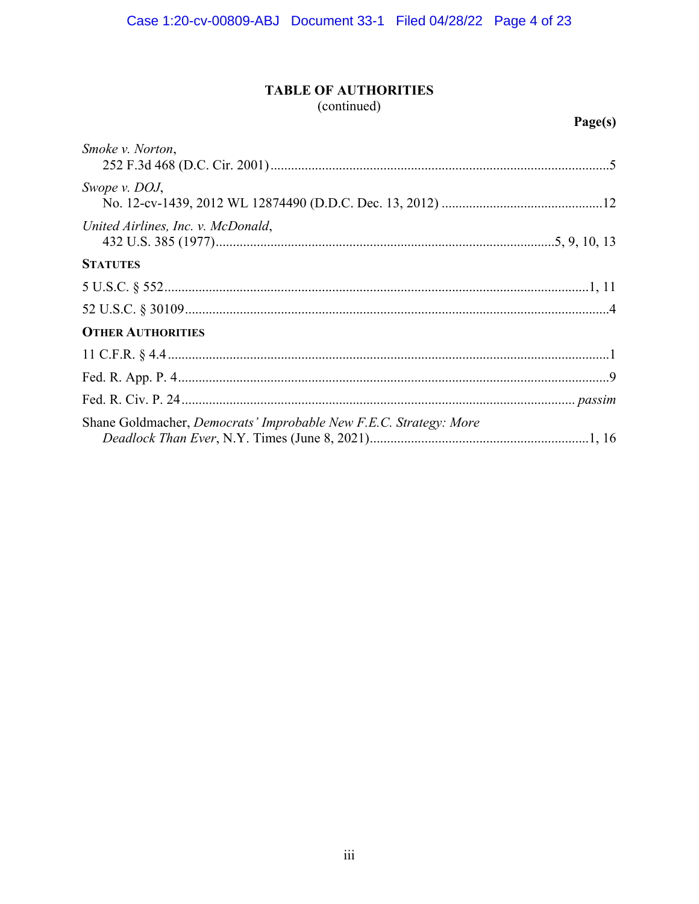## **TABLE OF AUTHORITIES**

(continued)

| <i>Smoke v. Norton,</i>                                                  |
|--------------------------------------------------------------------------|
| Swope v. DOJ,                                                            |
| United Airlines, Inc. v. McDonald,                                       |
| <b>STATUTES</b>                                                          |
|                                                                          |
|                                                                          |
| <b>OTHER AUTHORITIES</b>                                                 |
|                                                                          |
|                                                                          |
|                                                                          |
| Shane Goldmacher, <i>Democrats' Improbable New F.E.C. Strategy: More</i> |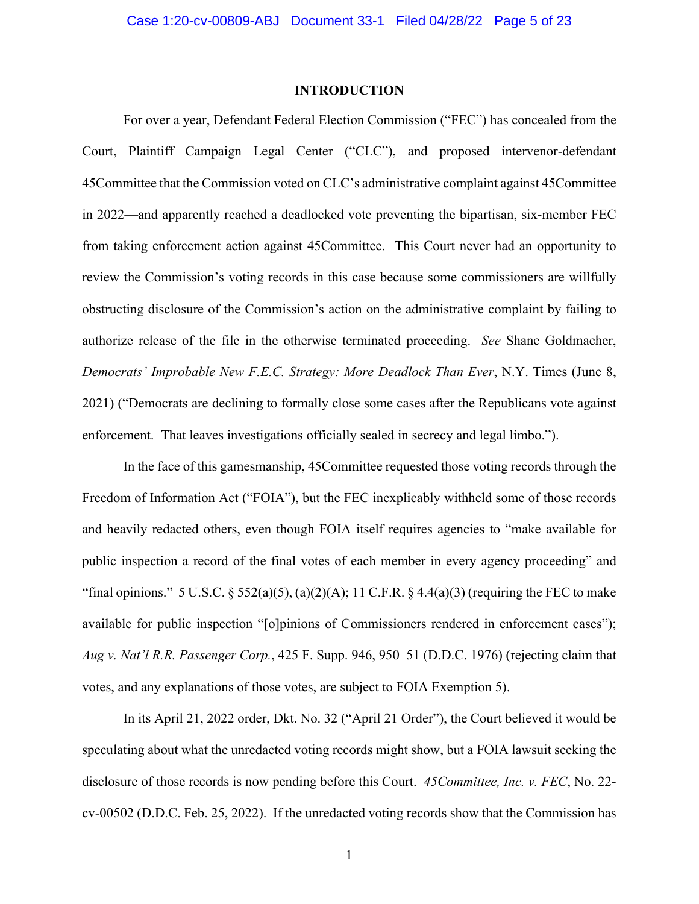### **INTRODUCTION**

For over a year, Defendant Federal Election Commission ("FEC") has concealed from the Court, Plaintiff Campaign Legal Center ("CLC"), and proposed intervenor-defendant 45Committee that the Commission voted on CLC's administrative complaint against 45Committee in 2022—and apparently reached a deadlocked vote preventing the bipartisan, six-member FEC from taking enforcement action against 45Committee. This Court never had an opportunity to review the Commission's voting records in this case because some commissioners are willfully obstructing disclosure of the Commission's action on the administrative complaint by failing to authorize release of the file in the otherwise terminated proceeding. *See* Shane Goldmacher, *Democrats' Improbable New F.E.C. Strategy: More Deadlock Than Ever*, N.Y. Times (June 8, 2021) ("Democrats are declining to formally close some cases after the Republicans vote against enforcement. That leaves investigations officially sealed in secrecy and legal limbo.").

In the face of this gamesmanship, 45Committee requested those voting records through the Freedom of Information Act ("FOIA"), but the FEC inexplicably withheld some of those records and heavily redacted others, even though FOIA itself requires agencies to "make available for public inspection a record of the final votes of each member in every agency proceeding" and "final opinions." 5 U.S.C.  $\S 552(a)(5)$ ,  $(a)(2)(A)$ ; 11 C.F.R.  $\S 4.4(a)(3)$  (requiring the FEC to make available for public inspection "[o]pinions of Commissioners rendered in enforcement cases"); *Aug v. Nat'l R.R. Passenger Corp.*, 425 F. Supp. 946, 950–51 (D.D.C. 1976) (rejecting claim that votes, and any explanations of those votes, are subject to FOIA Exemption 5).

In its April 21, 2022 order, Dkt. No. 32 ("April 21 Order"), the Court believed it would be speculating about what the unredacted voting records might show, but a FOIA lawsuit seeking the disclosure of those records is now pending before this Court. *45Committee, Inc. v. FEC*, No. 22 cv-00502 (D.D.C. Feb. 25, 2022). If the unredacted voting records show that the Commission has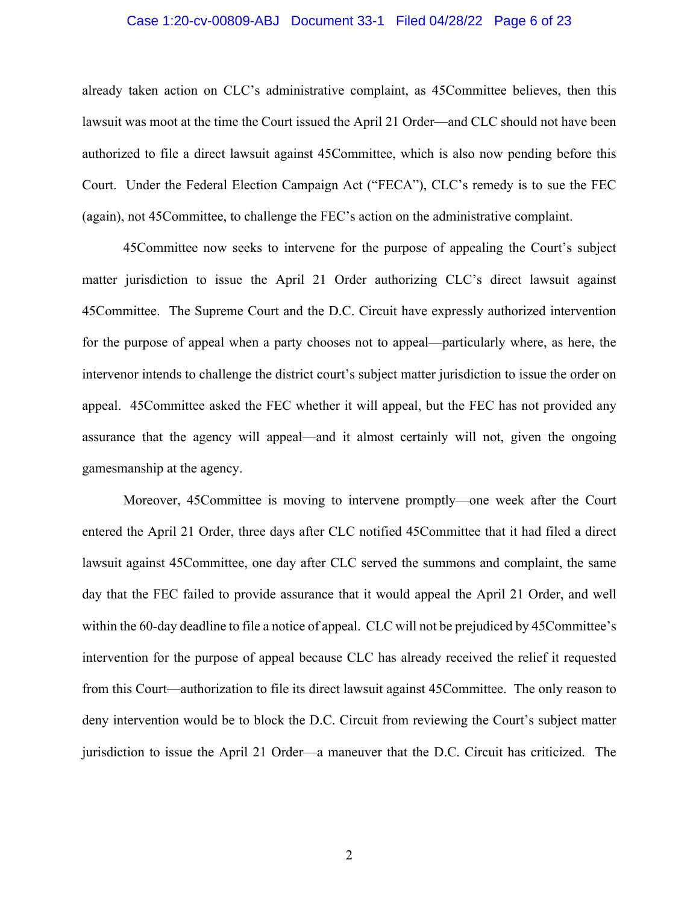#### Case 1:20-cv-00809-ABJ Document 33-1 Filed 04/28/22 Page 6 of 23

already taken action on CLC's administrative complaint, as 45Committee believes, then this lawsuit was moot at the time the Court issued the April 21 Order—and CLC should not have been authorized to file a direct lawsuit against 45Committee, which is also now pending before this Court. Under the Federal Election Campaign Act ("FECA"), CLC's remedy is to sue the FEC (again), not 45Committee, to challenge the FEC's action on the administrative complaint.

 45Committee now seeks to intervene for the purpose of appealing the Court's subject matter jurisdiction to issue the April 21 Order authorizing CLC's direct lawsuit against 45Committee. The Supreme Court and the D.C. Circuit have expressly authorized intervention for the purpose of appeal when a party chooses not to appeal—particularly where, as here, the intervenor intends to challenge the district court's subject matter jurisdiction to issue the order on appeal. 45Committee asked the FEC whether it will appeal, but the FEC has not provided any assurance that the agency will appeal—and it almost certainly will not, given the ongoing gamesmanship at the agency.

 Moreover, 45Committee is moving to intervene promptly—one week after the Court entered the April 21 Order, three days after CLC notified 45Committee that it had filed a direct lawsuit against 45Committee, one day after CLC served the summons and complaint, the same day that the FEC failed to provide assurance that it would appeal the April 21 Order, and well within the 60-day deadline to file a notice of appeal. CLC will not be prejudiced by 45Committee's intervention for the purpose of appeal because CLC has already received the relief it requested from this Court—authorization to file its direct lawsuit against 45Committee. The only reason to deny intervention would be to block the D.C. Circuit from reviewing the Court's subject matter jurisdiction to issue the April 21 Order—a maneuver that the D.C. Circuit has criticized. The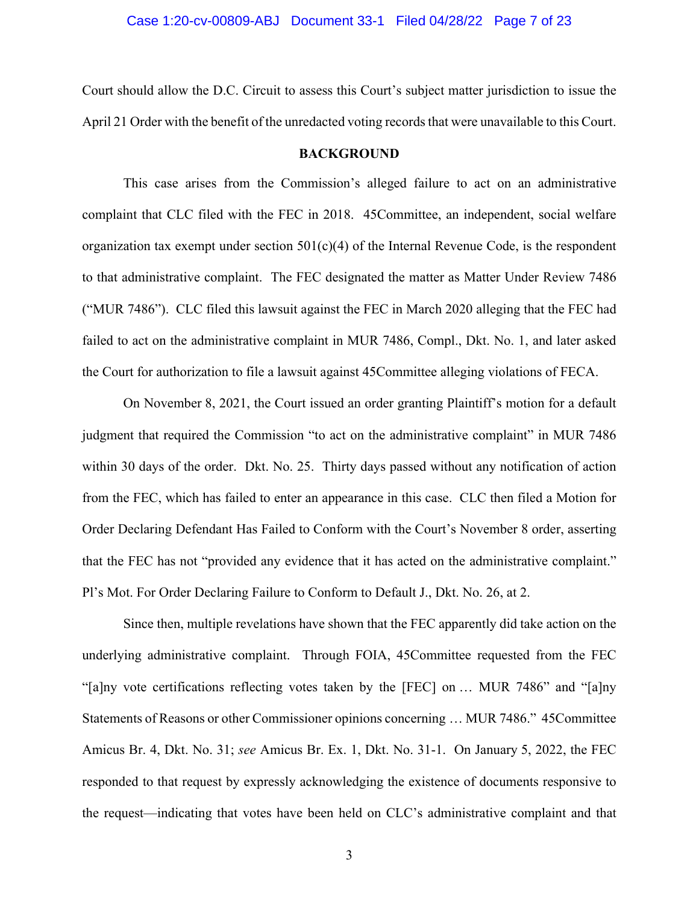Court should allow the D.C. Circuit to assess this Court's subject matter jurisdiction to issue the April 21 Order with the benefit of the unredacted voting records that were unavailable to this Court.

#### **BACKGROUND**

This case arises from the Commission's alleged failure to act on an administrative complaint that CLC filed with the FEC in 2018. 45Committee, an independent, social welfare organization tax exempt under section  $501(c)(4)$  of the Internal Revenue Code, is the respondent to that administrative complaint. The FEC designated the matter as Matter Under Review 7486 ("MUR 7486"). CLC filed this lawsuit against the FEC in March 2020 alleging that the FEC had failed to act on the administrative complaint in MUR 7486, Compl., Dkt. No. 1, and later asked the Court for authorization to file a lawsuit against 45Committee alleging violations of FECA.

On November 8, 2021, the Court issued an order granting Plaintiff's motion for a default judgment that required the Commission "to act on the administrative complaint" in MUR 7486 within 30 days of the order. Dkt. No. 25. Thirty days passed without any notification of action from the FEC, which has failed to enter an appearance in this case. CLC then filed a Motion for Order Declaring Defendant Has Failed to Conform with the Court's November 8 order, asserting that the FEC has not "provided any evidence that it has acted on the administrative complaint." Pl's Mot. For Order Declaring Failure to Conform to Default J., Dkt. No. 26, at 2.

Since then, multiple revelations have shown that the FEC apparently did take action on the underlying administrative complaint. Through FOIA, 45Committee requested from the FEC "[a]ny vote certifications reflecting votes taken by the [FEC] on … MUR 7486" and "[a]ny Statements of Reasons or other Commissioner opinions concerning … MUR 7486." 45Committee Amicus Br. 4, Dkt. No. 31; *see* Amicus Br. Ex. 1, Dkt. No. 31-1. On January 5, 2022, the FEC responded to that request by expressly acknowledging the existence of documents responsive to the request—indicating that votes have been held on CLC's administrative complaint and that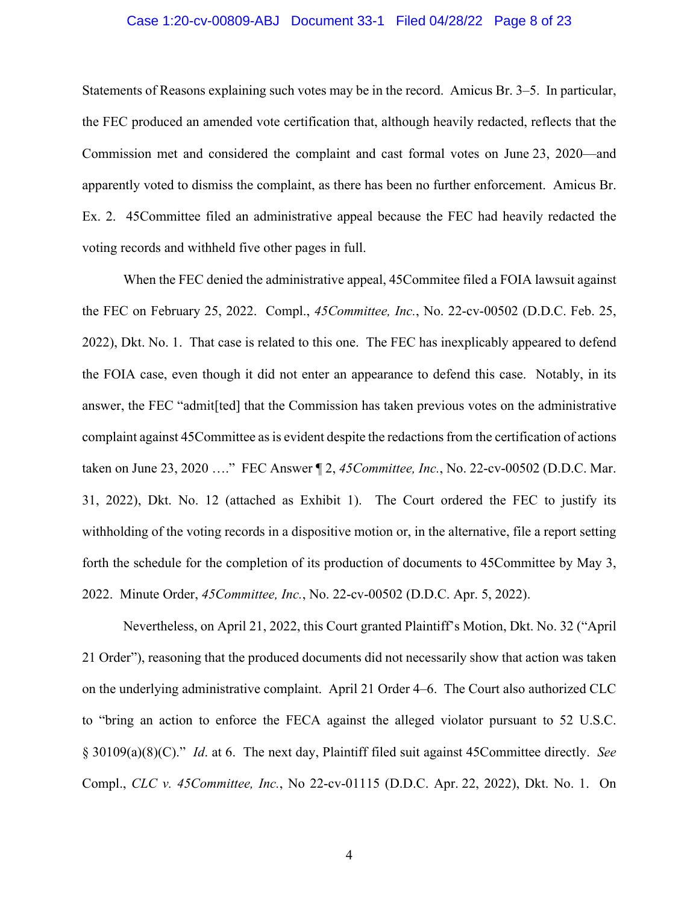#### Case 1:20-cv-00809-ABJ Document 33-1 Filed 04/28/22 Page 8 of 23

Statements of Reasons explaining such votes may be in the record. Amicus Br. 3–5. In particular, the FEC produced an amended vote certification that, although heavily redacted, reflects that the Commission met and considered the complaint and cast formal votes on June 23, 2020—and apparently voted to dismiss the complaint, as there has been no further enforcement. Amicus Br. Ex. 2. 45Committee filed an administrative appeal because the FEC had heavily redacted the voting records and withheld five other pages in full.

When the FEC denied the administrative appeal, 45Commitee filed a FOIA lawsuit against the FEC on February 25, 2022. Compl., *45Committee, Inc.*, No. 22-cv-00502 (D.D.C. Feb. 25, 2022), Dkt. No. 1. That case is related to this one. The FEC has inexplicably appeared to defend the FOIA case, even though it did not enter an appearance to defend this case. Notably, in its answer, the FEC "admit[ted] that the Commission has taken previous votes on the administrative complaint against 45Committee as is evident despite the redactions from the certification of actions taken on June 23, 2020 …." FEC Answer ¶ 2, *45Committee, Inc.*, No. 22-cv-00502 (D.D.C. Mar. 31, 2022), Dkt. No. 12 (attached as Exhibit 1). The Court ordered the FEC to justify its withholding of the voting records in a dispositive motion or, in the alternative, file a report setting forth the schedule for the completion of its production of documents to 45Committee by May 3, 2022. Minute Order, *45Committee, Inc.*, No. 22-cv-00502 (D.D.C. Apr. 5, 2022).

Nevertheless, on April 21, 2022, this Court granted Plaintiff's Motion, Dkt. No. 32 ("April 21 Order"), reasoning that the produced documents did not necessarily show that action was taken on the underlying administrative complaint. April 21 Order 4–6. The Court also authorized CLC to "bring an action to enforce the FECA against the alleged violator pursuant to 52 U.S.C. § 30109(a)(8)(C)." *Id*. at 6. The next day, Plaintiff filed suit against 45Committee directly. *See* Compl., *CLC v. 45Committee, Inc.*, No 22-cv-01115 (D.D.C. Apr. 22, 2022), Dkt. No. 1. On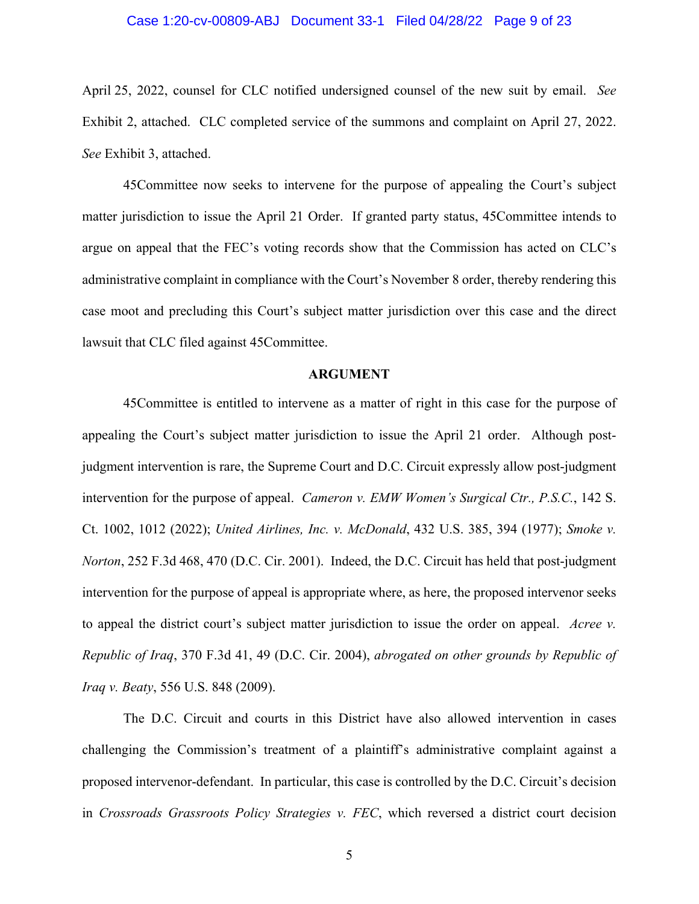#### Case 1:20-cv-00809-ABJ Document 33-1 Filed 04/28/22 Page 9 of 23

April 25, 2022, counsel for CLC notified undersigned counsel of the new suit by email. *See* Exhibit 2, attached. CLC completed service of the summons and complaint on April 27, 2022. *See* Exhibit 3, attached.

45Committee now seeks to intervene for the purpose of appealing the Court's subject matter jurisdiction to issue the April 21 Order. If granted party status, 45Committee intends to argue on appeal that the FEC's voting records show that the Commission has acted on CLC's administrative complaint in compliance with the Court's November 8 order, thereby rendering this case moot and precluding this Court's subject matter jurisdiction over this case and the direct lawsuit that CLC filed against 45Committee.

#### **ARGUMENT**

45Committee is entitled to intervene as a matter of right in this case for the purpose of appealing the Court's subject matter jurisdiction to issue the April 21 order. Although postjudgment intervention is rare, the Supreme Court and D.C. Circuit expressly allow post-judgment intervention for the purpose of appeal. *Cameron v. EMW Women's Surgical Ctr., P.S.C.*, 142 S. Ct. 1002, 1012 (2022); *United Airlines, Inc. v. McDonald*, 432 U.S. 385, 394 (1977); *Smoke v. Norton*, 252 F.3d 468, 470 (D.C. Cir. 2001). Indeed, the D.C. Circuit has held that post-judgment intervention for the purpose of appeal is appropriate where, as here, the proposed intervenor seeks to appeal the district court's subject matter jurisdiction to issue the order on appeal. *Acree v. Republic of Iraq*, 370 F.3d 41, 49 (D.C. Cir. 2004), *abrogated on other grounds by Republic of Iraq v. Beaty*, 556 U.S. 848 (2009).

The D.C. Circuit and courts in this District have also allowed intervention in cases challenging the Commission's treatment of a plaintiff's administrative complaint against a proposed intervenor-defendant. In particular, this case is controlled by the D.C. Circuit's decision in *Crossroads Grassroots Policy Strategies v. FEC*, which reversed a district court decision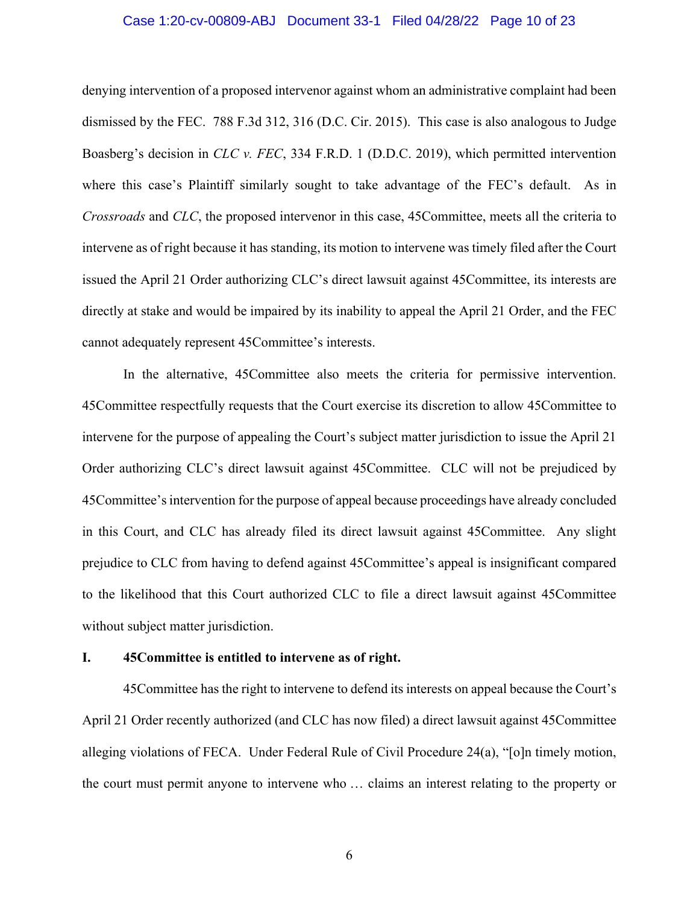#### Case 1:20-cv-00809-ABJ Document 33-1 Filed 04/28/22 Page 10 of 23

denying intervention of a proposed intervenor against whom an administrative complaint had been dismissed by the FEC. 788 F.3d 312, 316 (D.C. Cir. 2015). This case is also analogous to Judge Boasberg's decision in *CLC v. FEC*, 334 F.R.D. 1 (D.D.C. 2019), which permitted intervention where this case's Plaintiff similarly sought to take advantage of the FEC's default. As in *Crossroads* and *CLC*, the proposed intervenor in this case, 45Committee, meets all the criteria to intervene as of right because it has standing, its motion to intervene was timely filed after the Court issued the April 21 Order authorizing CLC's direct lawsuit against 45Committee, its interests are directly at stake and would be impaired by its inability to appeal the April 21 Order, and the FEC cannot adequately represent 45Committee's interests.

In the alternative, 45Committee also meets the criteria for permissive intervention. 45Committee respectfully requests that the Court exercise its discretion to allow 45Committee to intervene for the purpose of appealing the Court's subject matter jurisdiction to issue the April 21 Order authorizing CLC's direct lawsuit against 45Committee. CLC will not be prejudiced by 45Committee's intervention for the purpose of appeal because proceedings have already concluded in this Court, and CLC has already filed its direct lawsuit against 45Committee. Any slight prejudice to CLC from having to defend against 45Committee's appeal is insignificant compared to the likelihood that this Court authorized CLC to file a direct lawsuit against 45Committee without subject matter jurisdiction.

#### **I. 45Committee is entitled to intervene as of right.**

45Committee has the right to intervene to defend its interests on appeal because the Court's April 21 Order recently authorized (and CLC has now filed) a direct lawsuit against 45Committee alleging violations of FECA. Under Federal Rule of Civil Procedure 24(a), "[o]n timely motion, the court must permit anyone to intervene who … claims an interest relating to the property or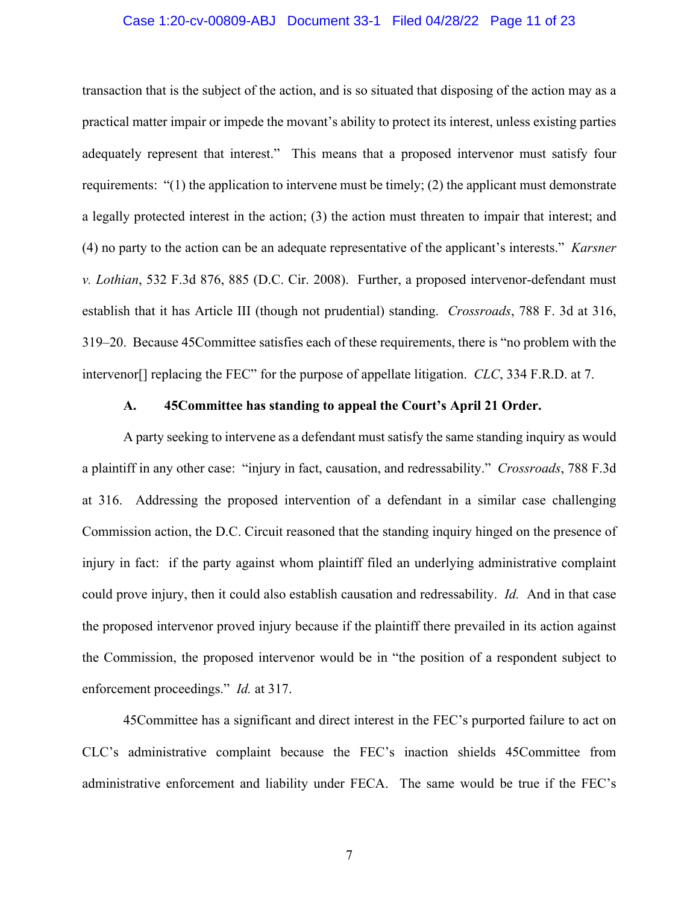#### Case 1:20-cv-00809-ABJ Document 33-1 Filed 04/28/22 Page 11 of 23

transaction that is the subject of the action, and is so situated that disposing of the action may as a practical matter impair or impede the movant's ability to protect its interest, unless existing parties adequately represent that interest." This means that a proposed intervenor must satisfy four requirements: "(1) the application to intervene must be timely; (2) the applicant must demonstrate a legally protected interest in the action; (3) the action must threaten to impair that interest; and (4) no party to the action can be an adequate representative of the applicant's interests." *Karsner v. Lothian*, 532 F.3d 876, 885 (D.C. Cir. 2008). Further, a proposed intervenor-defendant must establish that it has Article III (though not prudential) standing. *Crossroads*, 788 F. 3d at 316, 319–20. Because 45Committee satisfies each of these requirements, there is "no problem with the intervenor[] replacing the FEC" for the purpose of appellate litigation. *CLC*, 334 F.R.D. at 7.

#### **A. 45Committee has standing to appeal the Court's April 21 Order.**

A party seeking to intervene as a defendant must satisfy the same standing inquiry as would a plaintiff in any other case: "injury in fact, causation, and redressability." *Crossroads*, 788 F.3d at 316. Addressing the proposed intervention of a defendant in a similar case challenging Commission action, the D.C. Circuit reasoned that the standing inquiry hinged on the presence of injury in fact: if the party against whom plaintiff filed an underlying administrative complaint could prove injury, then it could also establish causation and redressability. *Id.* And in that case the proposed intervenor proved injury because if the plaintiff there prevailed in its action against the Commission, the proposed intervenor would be in "the position of a respondent subject to enforcement proceedings." *Id.* at 317.

45Committee has a significant and direct interest in the FEC's purported failure to act on CLC's administrative complaint because the FEC's inaction shields 45Committee from administrative enforcement and liability under FECA. The same would be true if the FEC's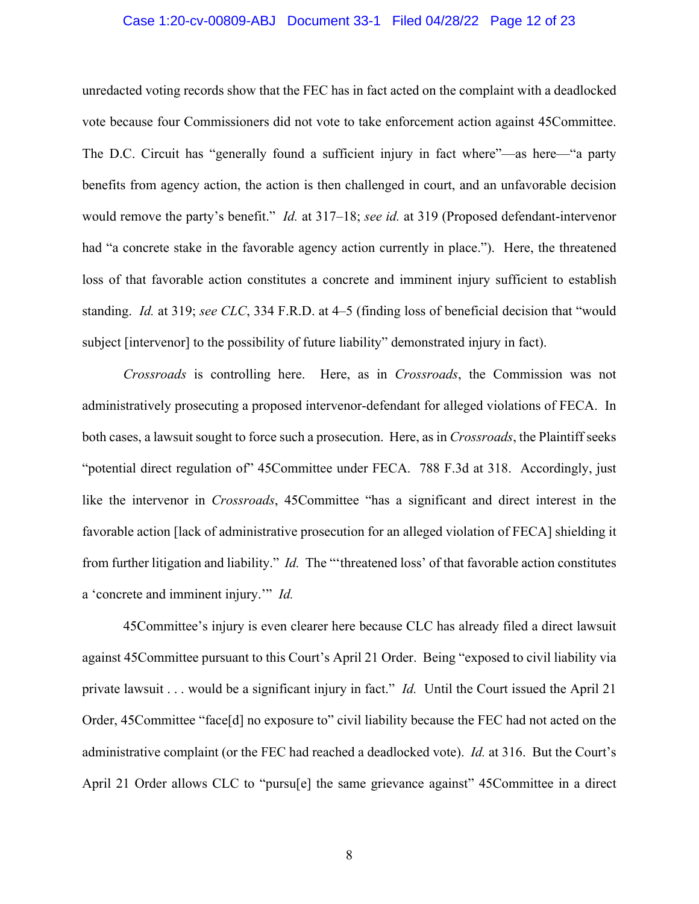#### Case 1:20-cv-00809-ABJ Document 33-1 Filed 04/28/22 Page 12 of 23

unredacted voting records show that the FEC has in fact acted on the complaint with a deadlocked vote because four Commissioners did not vote to take enforcement action against 45Committee. The D.C. Circuit has "generally found a sufficient injury in fact where"—as here—"a party benefits from agency action, the action is then challenged in court, and an unfavorable decision would remove the party's benefit." *Id.* at 317–18; *see id.* at 319 (Proposed defendant-intervenor had "a concrete stake in the favorable agency action currently in place."). Here, the threatened loss of that favorable action constitutes a concrete and imminent injury sufficient to establish standing. *Id.* at 319; *see CLC*, 334 F.R.D. at 4–5 (finding loss of beneficial decision that "would subject [intervenor] to the possibility of future liability" demonstrated injury in fact).

*Crossroads* is controlling here. Here, as in *Crossroads*, the Commission was not administratively prosecuting a proposed intervenor-defendant for alleged violations of FECA. In both cases, a lawsuit sought to force such a prosecution. Here, as in *Crossroads*, the Plaintiff seeks "potential direct regulation of" 45Committee under FECA. 788 F.3d at 318. Accordingly, just like the intervenor in *Crossroads*, 45Committee "has a significant and direct interest in the favorable action [lack of administrative prosecution for an alleged violation of FECA] shielding it from further litigation and liability." *Id.* The "'threatened loss' of that favorable action constitutes a 'concrete and imminent injury.'" *Id.*

45Committee's injury is even clearer here because CLC has already filed a direct lawsuit against 45Committee pursuant to this Court's April 21 Order. Being "exposed to civil liability via private lawsuit . . . would be a significant injury in fact." *Id.* Until the Court issued the April 21 Order, 45Committee "face[d] no exposure to" civil liability because the FEC had not acted on the administrative complaint (or the FEC had reached a deadlocked vote). *Id.* at 316. But the Court's April 21 Order allows CLC to "pursu[e] the same grievance against" 45Committee in a direct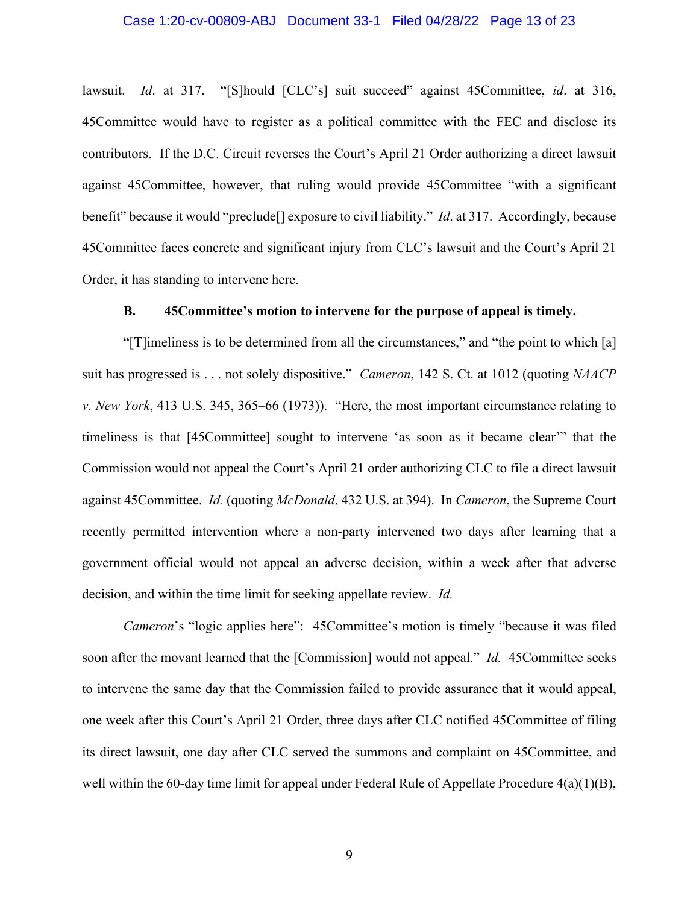lawsuit. *Id.* at 317. "[S]hould [CLC's] suit succeed" against 45Committee, *id.* at 316, 45Committee would have to register as a political committee with the FEC and disclose its contributors. If the D.C. Circuit reverses the Court's April 21 Order authorizing a direct lawsuit against 45Committee, however, that ruling would provide 45Committee "with a significant benefit" because it would "preclude[] exposure to civil liability." *Id*. at 317. Accordingly, because 45Committee faces concrete and significant injury from CLC's lawsuit and the Court's April 21 Order, it has standing to intervene here.

#### **B. 45Committee's motion to intervene for the purpose of appeal is timely.**

"[T]imeliness is to be determined from all the circumstances," and "the point to which [a] suit has progressed is . . . not solely dispositive." *Cameron*, 142 S. Ct. at 1012 (quoting *NAACP v. New York*, 413 U.S. 345, 365–66 (1973)). "Here, the most important circumstance relating to timeliness is that [45Committee] sought to intervene 'as soon as it became clear'" that the Commission would not appeal the Court's April 21 order authorizing CLC to file a direct lawsuit against 45Committee. *Id.* (quoting *McDonald*, 432 U.S. at 394). In *Cameron*, the Supreme Court recently permitted intervention where a non-party intervened two days after learning that a government official would not appeal an adverse decision, within a week after that adverse decision, and within the time limit for seeking appellate review. *Id.*

*Cameron*'s "logic applies here": 45Committee's motion is timely "because it was filed soon after the movant learned that the [Commission] would not appeal." *Id.* 45Committee seeks to intervene the same day that the Commission failed to provide assurance that it would appeal, one week after this Court's April 21 Order, three days after CLC notified 45Committee of filing its direct lawsuit, one day after CLC served the summons and complaint on 45Committee, and well within the 60-day time limit for appeal under Federal Rule of Appellate Procedure 4(a)(1)(B),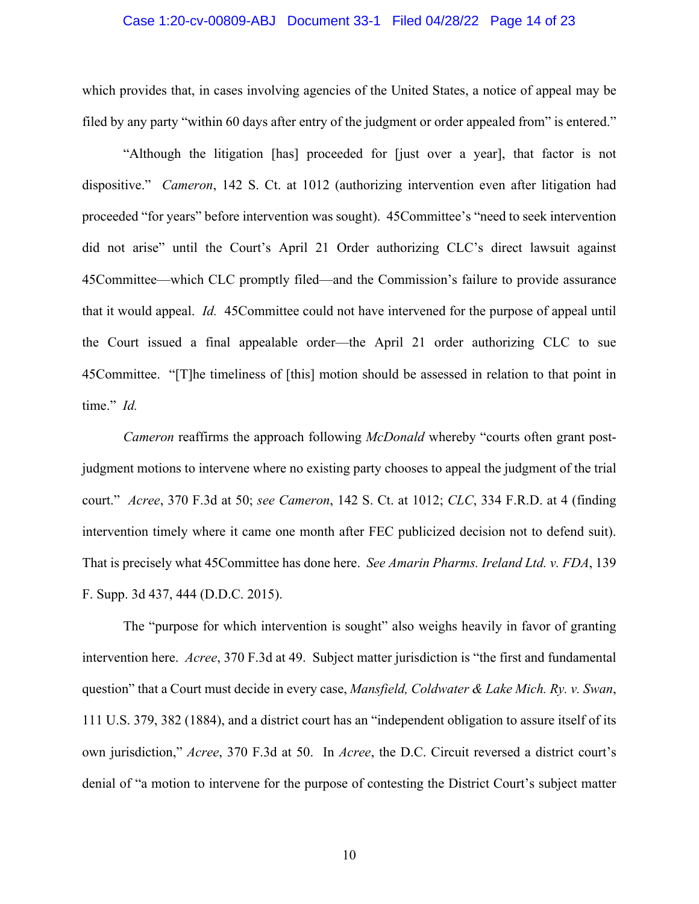#### Case 1:20-cv-00809-ABJ Document 33-1 Filed 04/28/22 Page 14 of 23

which provides that, in cases involving agencies of the United States, a notice of appeal may be filed by any party "within 60 days after entry of the judgment or order appealed from" is entered."

"Although the litigation [has] proceeded for [just over a year], that factor is not dispositive." *Cameron*, 142 S. Ct. at 1012 (authorizing intervention even after litigation had proceeded "for years" before intervention was sought). 45Committee's "need to seek intervention did not arise" until the Court's April 21 Order authorizing CLC's direct lawsuit against 45Committee—which CLC promptly filed—and the Commission's failure to provide assurance that it would appeal. *Id.* 45Committee could not have intervened for the purpose of appeal until the Court issued a final appealable order—the April 21 order authorizing CLC to sue 45Committee. "[T]he timeliness of [this] motion should be assessed in relation to that point in time." *Id.*

*Cameron* reaffirms the approach following *McDonald* whereby "courts often grant postjudgment motions to intervene where no existing party chooses to appeal the judgment of the trial court." *Acree*, 370 F.3d at 50; *see Cameron*, 142 S. Ct. at 1012; *CLC*, 334 F.R.D. at 4 (finding intervention timely where it came one month after FEC publicized decision not to defend suit). That is precisely what 45Committee has done here. *See Amarin Pharms. Ireland Ltd. v. FDA*, 139 F. Supp. 3d 437, 444 (D.D.C. 2015).

The "purpose for which intervention is sought" also weighs heavily in favor of granting intervention here. *Acree*, 370 F.3d at 49. Subject matter jurisdiction is "the first and fundamental question" that a Court must decide in every case, *Mansfield, Coldwater & Lake Mich. Ry. v. Swan*, 111 U.S. 379, 382 (1884), and a district court has an "independent obligation to assure itself of its own jurisdiction," *Acree*, 370 F.3d at 50. In *Acree*, the D.C. Circuit reversed a district court's denial of "a motion to intervene for the purpose of contesting the District Court's subject matter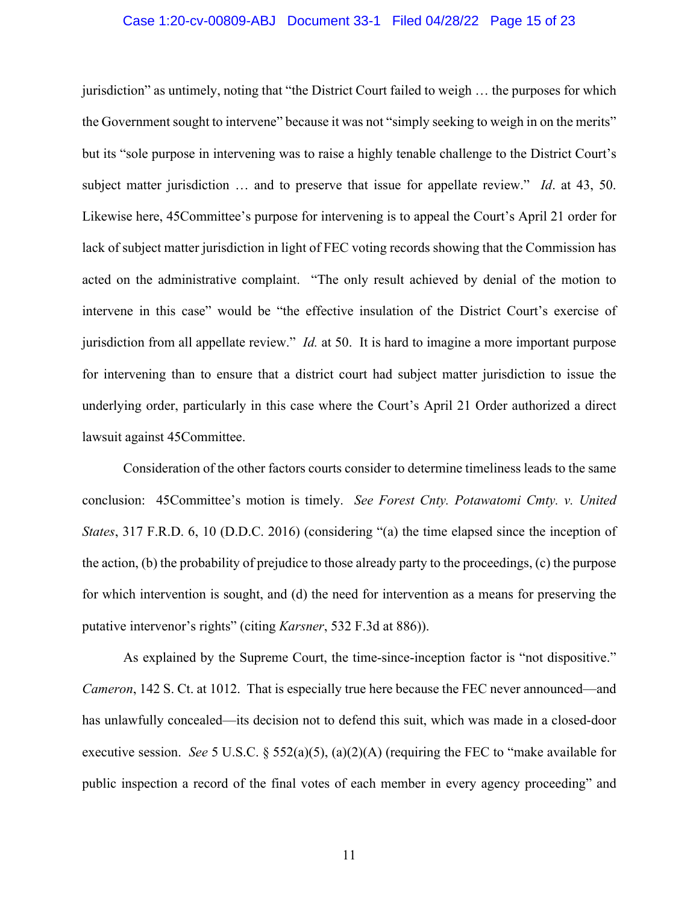#### Case 1:20-cv-00809-ABJ Document 33-1 Filed 04/28/22 Page 15 of 23

jurisdiction" as untimely, noting that "the District Court failed to weigh … the purposes for which the Government sought to intervene" because it was not "simply seeking to weigh in on the merits" but its "sole purpose in intervening was to raise a highly tenable challenge to the District Court's subject matter jurisdiction … and to preserve that issue for appellate review." *Id*. at 43, 50. Likewise here, 45Committee's purpose for intervening is to appeal the Court's April 21 order for lack of subject matter jurisdiction in light of FEC voting records showing that the Commission has acted on the administrative complaint. "The only result achieved by denial of the motion to intervene in this case" would be "the effective insulation of the District Court's exercise of jurisdiction from all appellate review." *Id.* at 50. It is hard to imagine a more important purpose for intervening than to ensure that a district court had subject matter jurisdiction to issue the underlying order, particularly in this case where the Court's April 21 Order authorized a direct lawsuit against 45Committee.

Consideration of the other factors courts consider to determine timeliness leads to the same conclusion: 45Committee's motion is timely. *See Forest Cnty. Potawatomi Cmty. v. United States*, 317 F.R.D. 6, 10 (D.D.C. 2016) (considering "(a) the time elapsed since the inception of the action, (b) the probability of prejudice to those already party to the proceedings, (c) the purpose for which intervention is sought, and (d) the need for intervention as a means for preserving the putative intervenor's rights" (citing *Karsner*, 532 F.3d at 886)).

As explained by the Supreme Court, the time-since-inception factor is "not dispositive." *Cameron*, 142 S. Ct. at 1012. That is especially true here because the FEC never announced—and has unlawfully concealed—its decision not to defend this suit, which was made in a closed-door executive session. *See* 5 U.S.C. § 552(a)(5), (a)(2)(A) (requiring the FEC to "make available for public inspection a record of the final votes of each member in every agency proceeding" and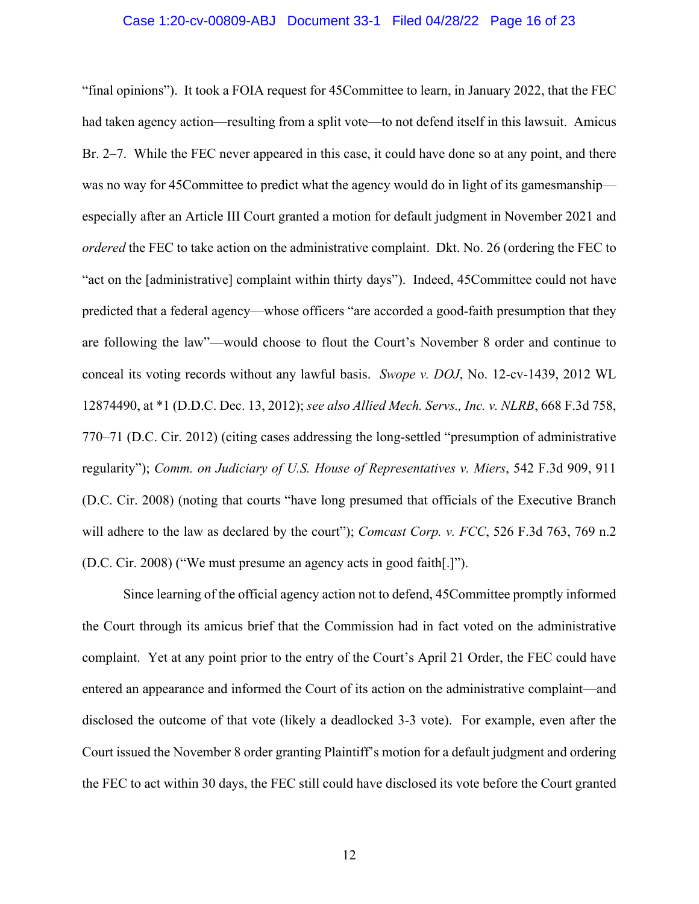#### Case 1:20-cv-00809-ABJ Document 33-1 Filed 04/28/22 Page 16 of 23

"final opinions"). It took a FOIA request for 45Committee to learn, in January 2022, that the FEC had taken agency action—resulting from a split vote—to not defend itself in this lawsuit. Amicus Br. 2–7. While the FEC never appeared in this case, it could have done so at any point, and there was no way for 45Committee to predict what the agency would do in light of its gamesmanship especially after an Article III Court granted a motion for default judgment in November 2021 and *ordered* the FEC to take action on the administrative complaint. Dkt. No. 26 (ordering the FEC to "act on the [administrative] complaint within thirty days"). Indeed, 45Committee could not have predicted that a federal agency—whose officers "are accorded a good-faith presumption that they are following the law"—would choose to flout the Court's November 8 order and continue to conceal its voting records without any lawful basis. *Swope v. DOJ*, No. 12-cv-1439, 2012 WL 12874490, at \*1 (D.D.C. Dec. 13, 2012); *see also Allied Mech. Servs., Inc. v. NLRB*, 668 F.3d 758, 770–71 (D.C. Cir. 2012) (citing cases addressing the long-settled "presumption of administrative regularity"); *Comm. on Judiciary of U.S. House of Representatives v. Miers*, 542 F.3d 909, 911 (D.C. Cir. 2008) (noting that courts "have long presumed that officials of the Executive Branch will adhere to the law as declared by the court"); *Comcast Corp. v. FCC*, 526 F.3d 763, 769 n.2 (D.C. Cir. 2008) ("We must presume an agency acts in good faith[.]").

Since learning of the official agency action not to defend, 45Committee promptly informed the Court through its amicus brief that the Commission had in fact voted on the administrative complaint. Yet at any point prior to the entry of the Court's April 21 Order, the FEC could have entered an appearance and informed the Court of its action on the administrative complaint—and disclosed the outcome of that vote (likely a deadlocked 3-3 vote). For example, even after the Court issued the November 8 order granting Plaintiff's motion for a default judgment and ordering the FEC to act within 30 days, the FEC still could have disclosed its vote before the Court granted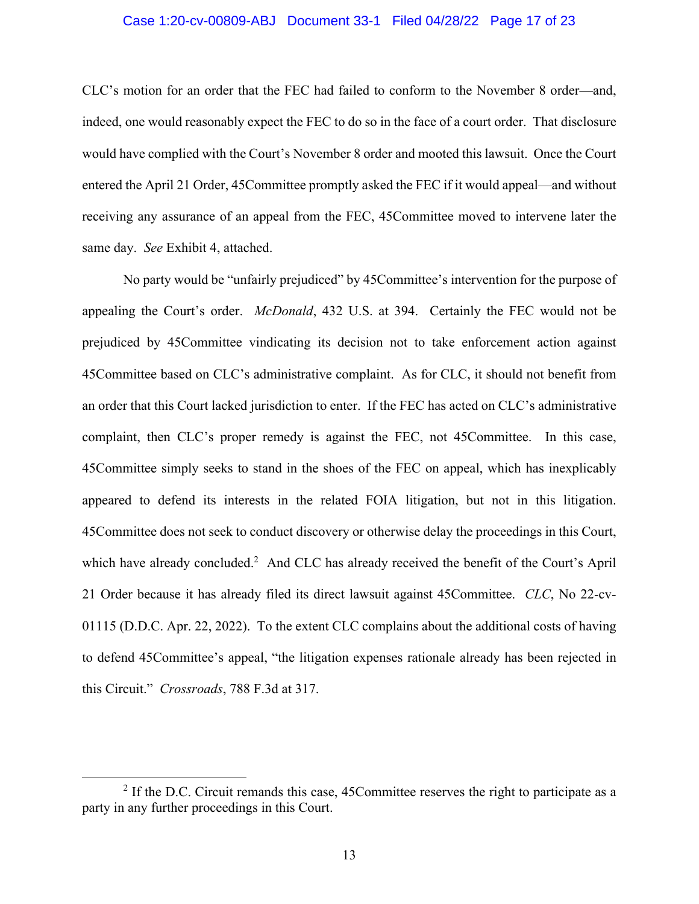#### Case 1:20-cv-00809-ABJ Document 33-1 Filed 04/28/22 Page 17 of 23

CLC's motion for an order that the FEC had failed to conform to the November 8 order—and, indeed, one would reasonably expect the FEC to do so in the face of a court order. That disclosure would have complied with the Court's November 8 order and mooted this lawsuit. Once the Court entered the April 21 Order, 45Committee promptly asked the FEC if it would appeal—and without receiving any assurance of an appeal from the FEC, 45Committee moved to intervene later the same day. *See* Exhibit 4, attached.

No party would be "unfairly prejudiced" by 45Committee's intervention for the purpose of appealing the Court's order. *McDonald*, 432 U.S. at 394. Certainly the FEC would not be prejudiced by 45Committee vindicating its decision not to take enforcement action against 45Committee based on CLC's administrative complaint. As for CLC, it should not benefit from an order that this Court lacked jurisdiction to enter. If the FEC has acted on CLC's administrative complaint, then CLC's proper remedy is against the FEC, not 45Committee. In this case, 45Committee simply seeks to stand in the shoes of the FEC on appeal, which has inexplicably appeared to defend its interests in the related FOIA litigation, but not in this litigation. 45Committee does not seek to conduct discovery or otherwise delay the proceedings in this Court, which have already concluded.<sup>2</sup> And CLC has already received the benefit of the Court's April 21 Order because it has already filed its direct lawsuit against 45Committee. *CLC*, No 22-cv-01115 (D.D.C. Apr. 22, 2022). To the extent CLC complains about the additional costs of having to defend 45Committee's appeal, "the litigation expenses rationale already has been rejected in this Circuit." *Crossroads*, 788 F.3d at 317.

 $2$  If the D.C. Circuit remands this case, 45 Committee reserves the right to participate as a party in any further proceedings in this Court.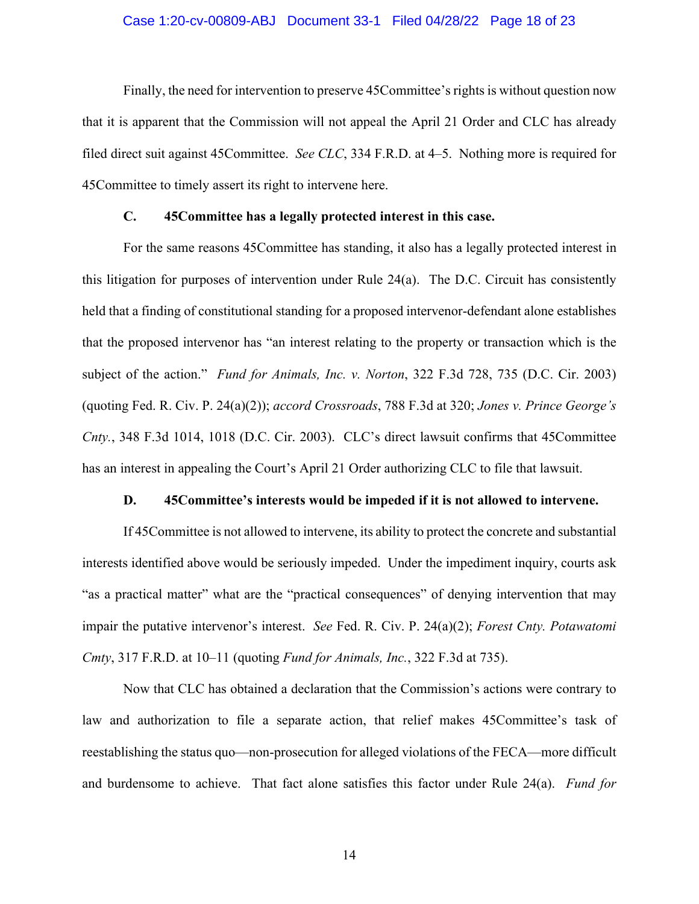#### Case 1:20-cv-00809-ABJ Document 33-1 Filed 04/28/22 Page 18 of 23

Finally, the need for intervention to preserve 45Committee's rights is without question now that it is apparent that the Commission will not appeal the April 21 Order and CLC has already filed direct suit against 45Committee. *See CLC*, 334 F.R.D. at 4–5. Nothing more is required for 45Committee to timely assert its right to intervene here.

### **C. 45Committee has a legally protected interest in this case.**

For the same reasons 45Committee has standing, it also has a legally protected interest in this litigation for purposes of intervention under Rule 24(a). The D.C. Circuit has consistently held that a finding of constitutional standing for a proposed intervenor-defendant alone establishes that the proposed intervenor has "an interest relating to the property or transaction which is the subject of the action." *Fund for Animals, Inc. v. Norton*, 322 F.3d 728, 735 (D.C. Cir. 2003) (quoting Fed. R. Civ. P. 24(a)(2)); *accord Crossroads*, 788 F.3d at 320; *Jones v. Prince George's Cnty.*, 348 F.3d 1014, 1018 (D.C. Cir. 2003). CLC's direct lawsuit confirms that 45Committee has an interest in appealing the Court's April 21 Order authorizing CLC to file that lawsuit.

#### **D. 45Committee's interests would be impeded if it is not allowed to intervene.**

If 45Committee is not allowed to intervene, its ability to protect the concrete and substantial interests identified above would be seriously impeded. Under the impediment inquiry, courts ask "as a practical matter" what are the "practical consequences" of denying intervention that may impair the putative intervenor's interest. *See* Fed. R. Civ. P. 24(a)(2); *Forest Cnty. Potawatomi Cmty*, 317 F.R.D. at 10–11 (quoting *Fund for Animals, Inc.*, 322 F.3d at 735).

Now that CLC has obtained a declaration that the Commission's actions were contrary to law and authorization to file a separate action, that relief makes 45Committee's task of reestablishing the status quo—non-prosecution for alleged violations of the FECA—more difficult and burdensome to achieve. That fact alone satisfies this factor under Rule 24(a). *Fund for*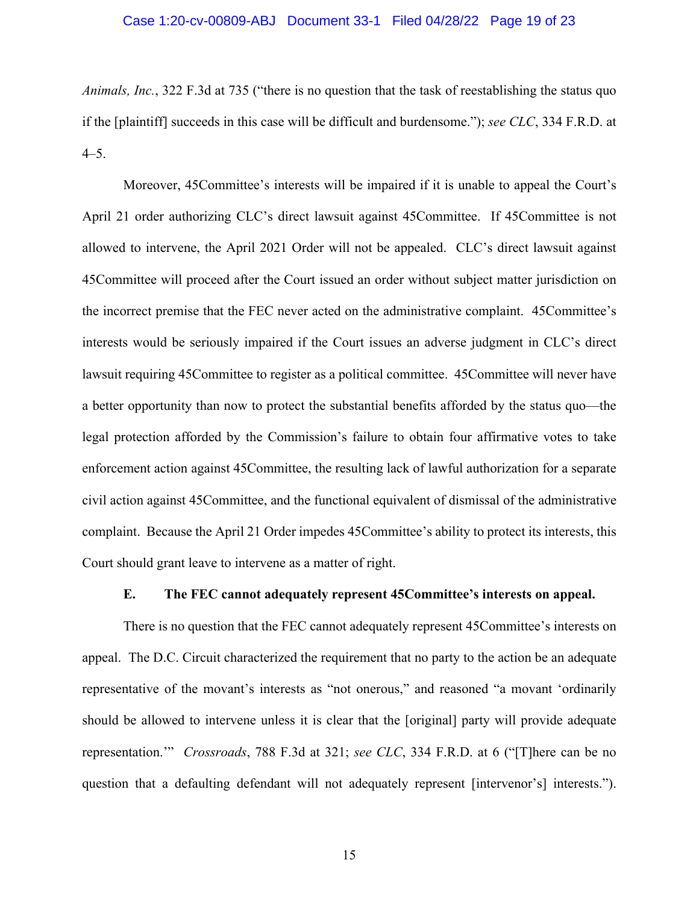*Animals, Inc.*, 322 F.3d at 735 ("there is no question that the task of reestablishing the status quo if the [plaintiff] succeeds in this case will be difficult and burdensome."); *see CLC*, 334 F.R.D. at 4–5.

Moreover, 45Committee's interests will be impaired if it is unable to appeal the Court's April 21 order authorizing CLC's direct lawsuit against 45Committee. If 45Committee is not allowed to intervene, the April 2021 Order will not be appealed. CLC's direct lawsuit against 45Committee will proceed after the Court issued an order without subject matter jurisdiction on the incorrect premise that the FEC never acted on the administrative complaint. 45Committee's interests would be seriously impaired if the Court issues an adverse judgment in CLC's direct lawsuit requiring 45Committee to register as a political committee. 45Committee will never have a better opportunity than now to protect the substantial benefits afforded by the status quo—the legal protection afforded by the Commission's failure to obtain four affirmative votes to take enforcement action against 45Committee, the resulting lack of lawful authorization for a separate civil action against 45Committee, and the functional equivalent of dismissal of the administrative complaint. Because the April 21 Order impedes 45Committee's ability to protect its interests, this Court should grant leave to intervene as a matter of right.

### **E. The FEC cannot adequately represent 45Committee's interests on appeal.**

There is no question that the FEC cannot adequately represent 45Committee's interests on appeal. The D.C. Circuit characterized the requirement that no party to the action be an adequate representative of the movant's interests as "not onerous," and reasoned "a movant 'ordinarily should be allowed to intervene unless it is clear that the [original] party will provide adequate representation.'" *Crossroads*, 788 F.3d at 321; *see CLC*, 334 F.R.D. at 6 ("[T]here can be no question that a defaulting defendant will not adequately represent [intervenor's] interests.").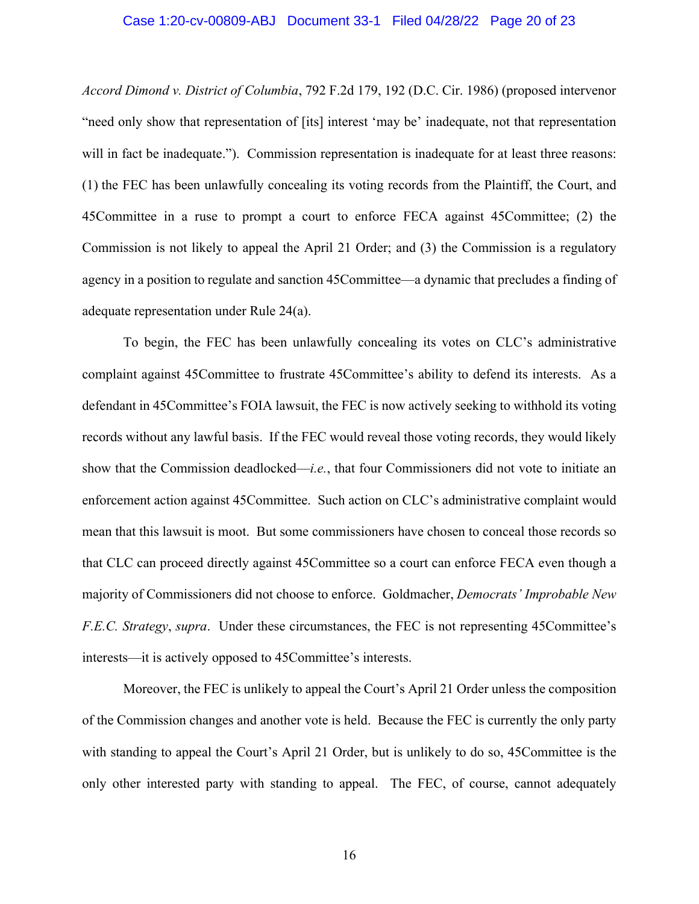#### Case 1:20-cv-00809-ABJ Document 33-1 Filed 04/28/22 Page 20 of 23

*Accord Dimond v. District of Columbia*, 792 F.2d 179, 192 (D.C. Cir. 1986) (proposed intervenor "need only show that representation of [its] interest 'may be' inadequate, not that representation will in fact be inadequate."). Commission representation is inadequate for at least three reasons: (1) the FEC has been unlawfully concealing its voting records from the Plaintiff, the Court, and 45Committee in a ruse to prompt a court to enforce FECA against 45Committee; (2) the Commission is not likely to appeal the April 21 Order; and (3) the Commission is a regulatory agency in a position to regulate and sanction 45Committee—a dynamic that precludes a finding of adequate representation under Rule 24(a).

To begin, the FEC has been unlawfully concealing its votes on CLC's administrative complaint against 45Committee to frustrate 45Committee's ability to defend its interests. As a defendant in 45Committee's FOIA lawsuit, the FEC is now actively seeking to withhold its voting records without any lawful basis. If the FEC would reveal those voting records, they would likely show that the Commission deadlocked—*i.e.*, that four Commissioners did not vote to initiate an enforcement action against 45Committee. Such action on CLC's administrative complaint would mean that this lawsuit is moot. But some commissioners have chosen to conceal those records so that CLC can proceed directly against 45Committee so a court can enforce FECA even though a majority of Commissioners did not choose to enforce. Goldmacher, *Democrats' Improbable New F.E.C. Strategy*, *supra*. Under these circumstances, the FEC is not representing 45Committee's interests—it is actively opposed to 45Committee's interests.

Moreover, the FEC is unlikely to appeal the Court's April 21 Order unless the composition of the Commission changes and another vote is held. Because the FEC is currently the only party with standing to appeal the Court's April 21 Order, but is unlikely to do so, 45Committee is the only other interested party with standing to appeal. The FEC, of course, cannot adequately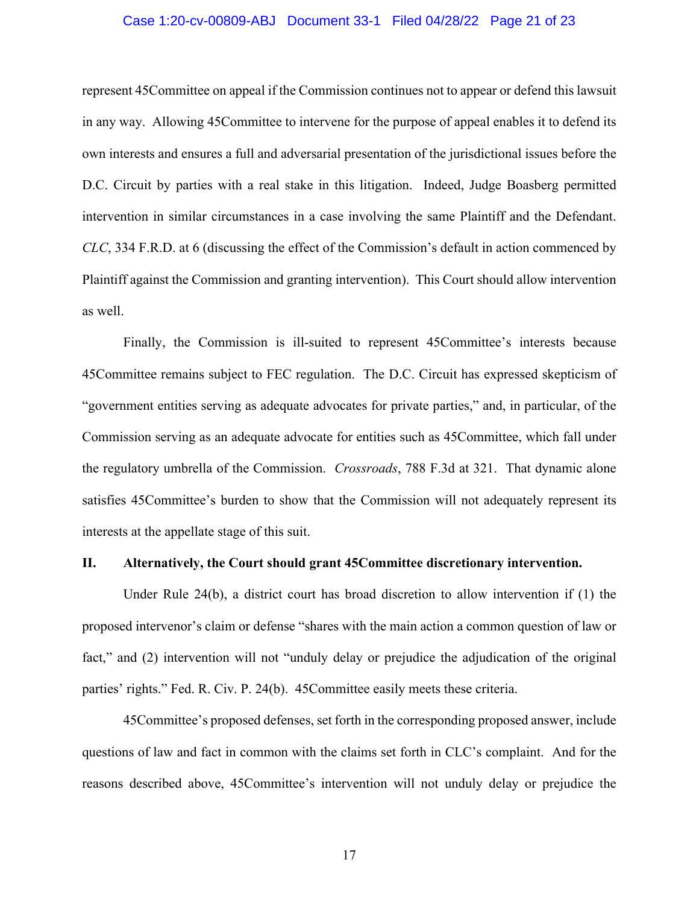#### Case 1:20-cv-00809-ABJ Document 33-1 Filed 04/28/22 Page 21 of 23

represent 45Committee on appeal if the Commission continues not to appear or defend this lawsuit in any way. Allowing 45Committee to intervene for the purpose of appeal enables it to defend its own interests and ensures a full and adversarial presentation of the jurisdictional issues before the D.C. Circuit by parties with a real stake in this litigation. Indeed, Judge Boasberg permitted intervention in similar circumstances in a case involving the same Plaintiff and the Defendant. *CLC*, 334 F.R.D. at 6 (discussing the effect of the Commission's default in action commenced by Plaintiff against the Commission and granting intervention). This Court should allow intervention as well.

Finally, the Commission is ill-suited to represent 45Committee's interests because 45Committee remains subject to FEC regulation. The D.C. Circuit has expressed skepticism of "government entities serving as adequate advocates for private parties," and, in particular, of the Commission serving as an adequate advocate for entities such as 45Committee, which fall under the regulatory umbrella of the Commission. *Crossroads*, 788 F.3d at 321. That dynamic alone satisfies 45Committee's burden to show that the Commission will not adequately represent its interests at the appellate stage of this suit.

#### **II. Alternatively, the Court should grant 45Committee discretionary intervention.**

Under Rule 24(b), a district court has broad discretion to allow intervention if (1) the proposed intervenor's claim or defense "shares with the main action a common question of law or fact," and (2) intervention will not "unduly delay or prejudice the adjudication of the original parties' rights." Fed. R. Civ. P. 24(b). 45Committee easily meets these criteria.

45Committee's proposed defenses, set forth in the corresponding proposed answer, include questions of law and fact in common with the claims set forth in CLC's complaint. And for the reasons described above, 45Committee's intervention will not unduly delay or prejudice the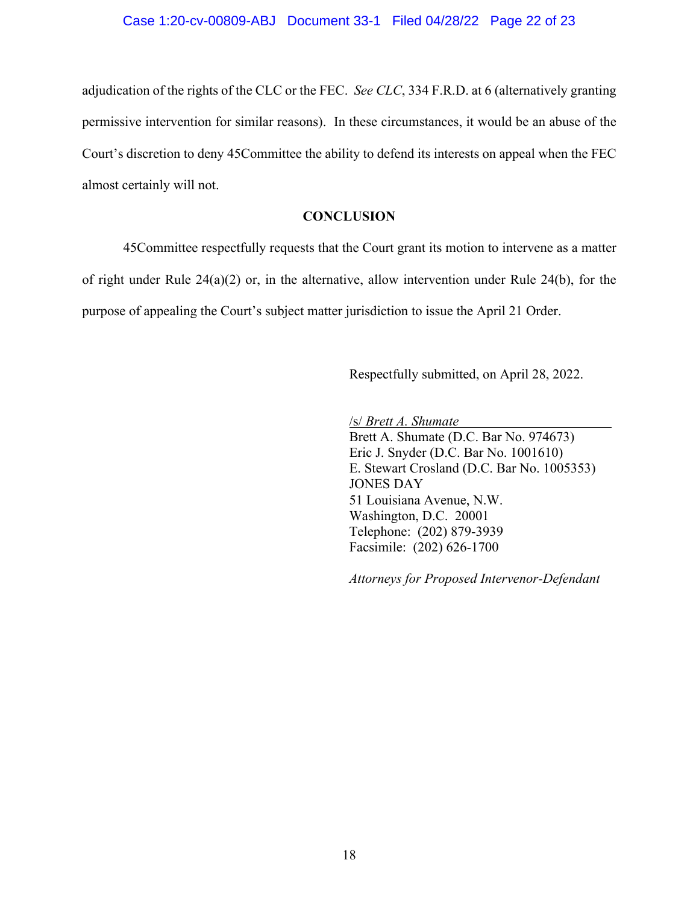adjudication of the rights of the CLC or the FEC. *See CLC*, 334 F.R.D. at 6 (alternatively granting permissive intervention for similar reasons). In these circumstances, it would be an abuse of the Court's discretion to deny 45Committee the ability to defend its interests on appeal when the FEC almost certainly will not.

### **CONCLUSION**

45Committee respectfully requests that the Court grant its motion to intervene as a matter of right under Rule 24(a)(2) or, in the alternative, allow intervention under Rule 24(b), for the purpose of appealing the Court's subject matter jurisdiction to issue the April 21 Order.

Respectfully submitted, on April 28, 2022.

/s/ *Brett A. Shumate* 

Brett A. Shumate (D.C. Bar No. 974673) Eric J. Snyder (D.C. Bar No. 1001610) E. Stewart Crosland (D.C. Bar No. 1005353) JONES DAY 51 Louisiana Avenue, N.W. Washington, D.C. 20001 Telephone: (202) 879-3939 Facsimile: (202) 626-1700

*Attorneys for Proposed Intervenor-Defendant*